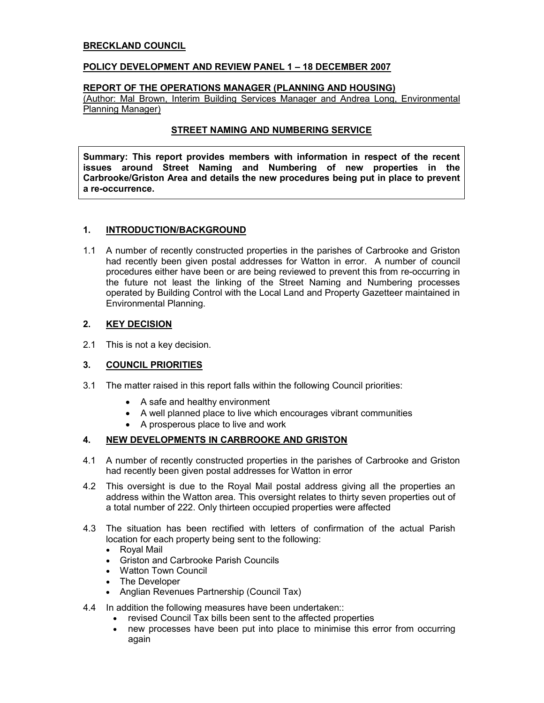## BRECKLAND COUNCIL

#### POLICY DEVELOPMENT AND REVIEW PANEL 1 – 18 DECEMBER 2007

## REPORT OF THE OPERATIONS MANAGER (PLANNING AND HOUSING)

(Author: Mal Brown, Interim Building Services Manager and Andrea Long, Environmental Planning Manager)

#### STREET NAMING AND NUMBERING SERVICE

Summary: This report provides members with information in respect of the recent issues around Street Naming and Numbering of new properties in the Carbrooke/Griston Area and details the new procedures being put in place to prevent a re-occurrence.

#### 1. INTRODUCTION/BACKGROUND

1.1 A number of recently constructed properties in the parishes of Carbrooke and Griston had recently been given postal addresses for Watton in error. A number of council procedures either have been or are being reviewed to prevent this from re-occurring in the future not least the linking of the Street Naming and Numbering processes operated by Building Control with the Local Land and Property Gazetteer maintained in Environmental Planning.

#### 2. KEY DECISION

2.1 This is not a key decision.

# 3. COUNCIL PRIORITIES

- 3.1 The matter raised in this report falls within the following Council priorities:
	- A safe and healthy environment
	- A well planned place to live which encourages vibrant communities
	- A prosperous place to live and work

# 4. NEW DEVELOPMENTS IN CARBROOKE AND GRISTON

- 4.1 A number of recently constructed properties in the parishes of Carbrooke and Griston had recently been given postal addresses for Watton in error
- 4.2 This oversight is due to the Royal Mail postal address giving all the properties an address within the Watton area. This oversight relates to thirty seven properties out of a total number of 222. Only thirteen occupied properties were affected
- 4.3 The situation has been rectified with letters of confirmation of the actual Parish location for each property being sent to the following:
	- Royal Mail
	- Griston and Carbrooke Parish Councils
	- Watton Town Council
	- The Developer
	- Anglian Revenues Partnership (Council Tax)
- 4.4 In addition the following measures have been undertaken::
	- revised Council Tax bills been sent to the affected properties
	- new processes have been put into place to minimise this error from occurring again